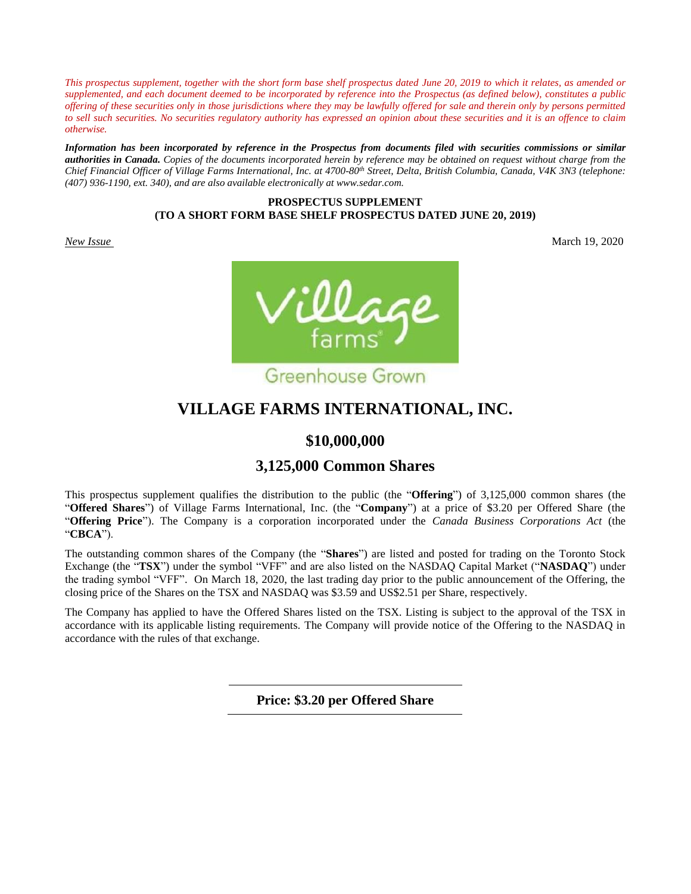*This prospectus supplement, together with the short form base shelf prospectus dated June 20, 2019 to which it relates, as amended or supplemented, and each document deemed to be incorporated by reference into the Prospectus (as defined below), constitutes a public offering of these securities only in those jurisdictions where they may be lawfully offered for sale and therein only by persons permitted to sell such securities. No securities regulatory authority has expressed an opinion about these securities and it is an offence to claim otherwise.*

*Information has been incorporated by reference in the Prospectus from documents filed with securities commissions or similar authorities in Canada. Copies of the documents incorporated herein by reference may be obtained on request without charge from the Chief Financial Officer of Village Farms International, Inc. at 4700-80th Street, Delta, British Columbia, Canada, V4K 3N3 (telephone: (407) 936-1190, ext. 340), and are also available electronically at www.sedar.com.*

# **PROSPECTUS SUPPLEMENT (TO A SHORT FORM BASE SHELF PROSPECTUS DATED JUNE 20, 2019)**

*New Issue* March 19, 2020



# **VILLAGE FARMS INTERNATIONAL, INC.**

# **\$10,000,000**

# **3,125,000 Common Shares**

This prospectus supplement qualifies the distribution to the public (the "**Offering**") of 3,125,000 common shares (the "**Offered Shares**") of Village Farms International, Inc. (the "**Company**") at a price of \$3.20 per Offered Share (the "**Offering Price**"). The Company is a corporation incorporated under the *Canada Business Corporations Act* (the "**CBCA**").

The outstanding common shares of the Company (the "**Shares**") are listed and posted for trading on the Toronto Stock Exchange (the "**TSX**") under the symbol "VFF" and are also listed on the NASDAQ Capital Market ("**NASDAQ**") under the trading symbol "VFF". On March 18, 2020, the last trading day prior to the public announcement of the Offering, the closing price of the Shares on the TSX and NASDAQ was \$3.59 and US\$2.51 per Share, respectively.

The Company has applied to have the Offered Shares listed on the TSX. Listing is subject to the approval of the TSX in accordance with its applicable listing requirements. The Company will provide notice of the Offering to the NASDAQ in accordance with the rules of that exchange.

**Price: \$3.20 per Offered Share**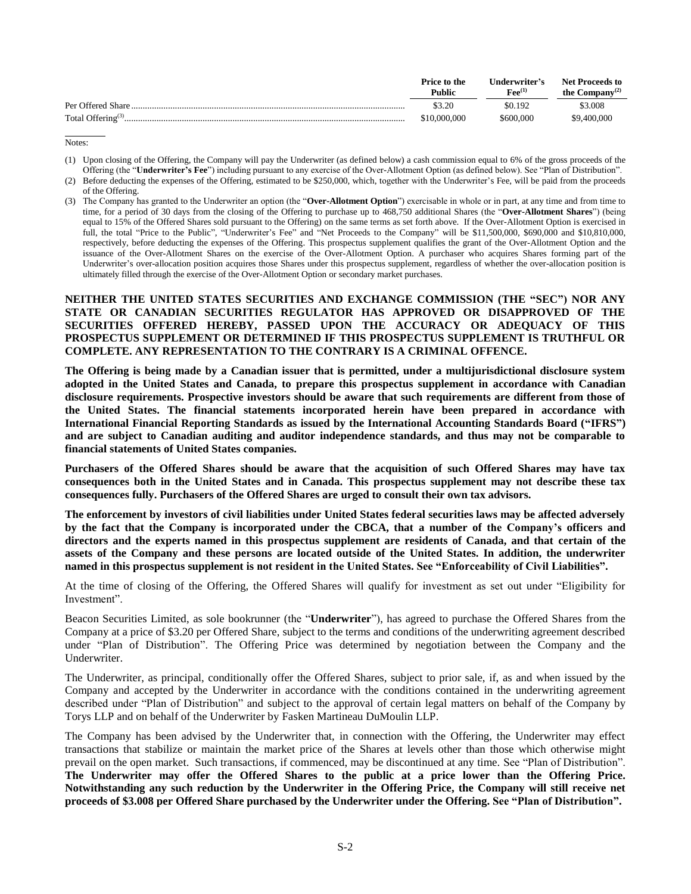|                                 | Price to the<br><b>Public</b> | Underwriter's<br>$\mathbf{F}$ ee $^{(1)}$ | <b>Net Proceeds to</b><br>the Company <sup>(2)</sup> |
|---------------------------------|-------------------------------|-------------------------------------------|------------------------------------------------------|
| Per Offered Share               | \$3.20                        | \$0.192                                   | \$3,008                                              |
| Total Offering <sup>(3)</sup> . | \$10.000.000                  | \$600.000                                 | \$9,400,000                                          |

Notes:

- (1) Upon closing of the Offering, the Company will pay the Underwriter (as defined below) a cash commission equal to 6% of the gross proceeds of the Offering (the "**Underwriter's Fee**") including pursuant to any exercise of the Over-Allotment Option (as defined below). See "Plan of Distribution".
- (2) Before deducting the expenses of the Offering, estimated to be \$250,000, which, together with the Underwriter's Fee, will be paid from the proceeds of the Offering.
- (3) The Company has granted to the Underwriter an option (the "**Over-Allotment Option**") exercisable in whole or in part, at any time and from time to time, for a period of 30 days from the closing of the Offering to purchase up to 468,750 additional Shares (the "**Over-Allotment Shares**") (being equal to 15% of the Offered Shares sold pursuant to the Offering) on the same terms as set forth above. If the Over-Allotment Option is exercised in full, the total "Price to the Public", "Underwriter's Fee" and "Net Proceeds to the Company" will be \$11,500,000, \$690,000 and \$10,810,000, respectively, before deducting the expenses of the Offering. This prospectus supplement qualifies the grant of the Over-Allotment Option and the issuance of the Over-Allotment Shares on the exercise of the Over-Allotment Option. A purchaser who acquires Shares forming part of the Underwriter's over-allocation position acquires those Shares under this prospectus supplement, regardless of whether the over-allocation position is ultimately filled through the exercise of the Over-Allotment Option or secondary market purchases.

# **NEITHER THE UNITED STATES SECURITIES AND EXCHANGE COMMISSION (THE "SEC") NOR ANY STATE OR CANADIAN SECURITIES REGULATOR HAS APPROVED OR DISAPPROVED OF THE SECURITIES OFFERED HEREBY, PASSED UPON THE ACCURACY OR ADEQUACY OF THIS PROSPECTUS SUPPLEMENT OR DETERMINED IF THIS PROSPECTUS SUPPLEMENT IS TRUTHFUL OR COMPLETE. ANY REPRESENTATION TO THE CONTRARY IS A CRIMINAL OFFENCE.**

**The Offering is being made by a Canadian issuer that is permitted, under a multijurisdictional disclosure system adopted in the United States and Canada, to prepare this prospectus supplement in accordance with Canadian disclosure requirements. Prospective investors should be aware that such requirements are different from those of the United States. The financial statements incorporated herein have been prepared in accordance with International Financial Reporting Standards as issued by the International Accounting Standards Board ("IFRS") and are subject to Canadian auditing and auditor independence standards, and thus may not be comparable to financial statements of United States companies.** 

**Purchasers of the Offered Shares should be aware that the acquisition of such Offered Shares may have tax consequences both in the United States and in Canada. This prospectus supplement may not describe these tax consequences fully. Purchasers of the Offered Shares are urged to consult their own tax advisors.** 

**The enforcement by investors of civil liabilities under United States federal securities laws may be affected adversely by the fact that the Company is incorporated under the CBCA, that a number of the Company's officers and directors and the experts named in this prospectus supplement are residents of Canada, and that certain of the assets of the Company and these persons are located outside of the United States. In addition, the underwriter named in this prospectus supplement is not resident in the United States. See "Enforceability of Civil Liabilities".**

At the time of closing of the Offering, the Offered Shares will qualify for investment as set out under "Eligibility for Investment".

Beacon Securities Limited, as sole bookrunner (the "**Underwriter**"), has agreed to purchase the Offered Shares from the Company at a price of \$3.20 per Offered Share, subject to the terms and conditions of the underwriting agreement described under "Plan of Distribution". The Offering Price was determined by negotiation between the Company and the Underwriter.

The Underwriter, as principal, conditionally offer the Offered Shares, subject to prior sale, if, as and when issued by the Company and accepted by the Underwriter in accordance with the conditions contained in the underwriting agreement described under "Plan of Distribution" and subject to the approval of certain legal matters on behalf of the Company by Torys LLP and on behalf of the Underwriter by Fasken Martineau DuMoulin LLP.

The Company has been advised by the Underwriter that, in connection with the Offering, the Underwriter may effect transactions that stabilize or maintain the market price of the Shares at levels other than those which otherwise might prevail on the open market. Such transactions, if commenced, may be discontinued at any time. See "Plan of Distribution". **The Underwriter may offer the Offered Shares to the public at a price lower than the Offering Price. Notwithstanding any such reduction by the Underwriter in the Offering Price, the Company will still receive net proceeds of \$3.008 per Offered Share purchased by the Underwriter under the Offering. See "Plan of Distribution".**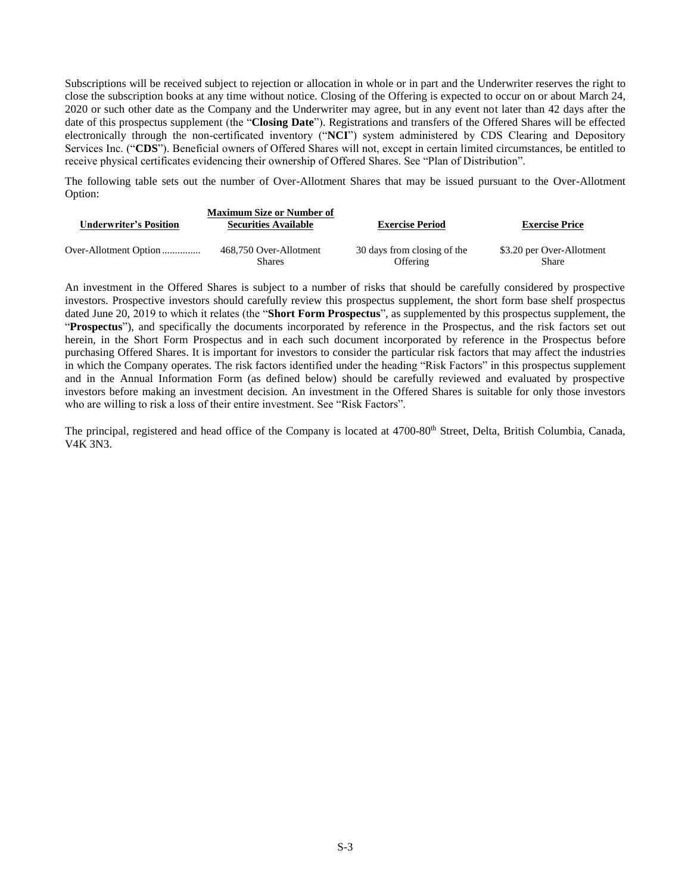Subscriptions will be received subject to rejection or allocation in whole or in part and the Underwriter reserves the right to close the subscription books at any time without notice. Closing of the Offering is expected to occur on or about March 24, 2020 or such other date as the Company and the Underwriter may agree, but in any event not later than 42 days after the date of this prospectus supplement (the "**Closing Date**"). Registrations and transfers of the Offered Shares will be effected electronically through the non-certificated inventory ("**NCI**") system administered by CDS Clearing and Depository Services Inc. ("**CDS**"). Beneficial owners of Offered Shares will not, except in certain limited circumstances, be entitled to receive physical certificates evidencing their ownership of Offered Shares. See "Plan of Distribution".

The following table sets out the number of Over-Allotment Shares that may be issued pursuant to the Over-Allotment Option:

| <b>Underwriter's Position</b> | <b>Maximum Size or Number of</b><br><b>Securities Available</b> | <b>Exercise Period</b>      | <b>Exercise Price</b>     |
|-------------------------------|-----------------------------------------------------------------|-----------------------------|---------------------------|
|                               | 468,750 Over-Allotment                                          | 30 days from closing of the | \$3.20 per Over-Allotment |
|                               | <b>Shares</b>                                                   | Offering                    | Share                     |

An investment in the Offered Shares is subject to a number of risks that should be carefully considered by prospective investors. Prospective investors should carefully review this prospectus supplement, the short form base shelf prospectus dated June 20, 2019 to which it relates (the "**Short Form Prospectus**", as supplemented by this prospectus supplement, the "**Prospectus**"), and specifically the documents incorporated by reference in the Prospectus, and the risk factors set out herein, in the Short Form Prospectus and in each such document incorporated by reference in the Prospectus before purchasing Offered Shares. It is important for investors to consider the particular risk factors that may affect the industries in which the Company operates. The risk factors identified under the heading "Risk Factors" in this prospectus supplement and in the Annual Information Form (as defined below) should be carefully reviewed and evaluated by prospective investors before making an investment decision. An investment in the Offered Shares is suitable for only those investors who are willing to risk a loss of their entire investment. See "Risk Factors".

The principal, registered and head office of the Company is located at 4700-80<sup>th</sup> Street, Delta, British Columbia, Canada, V4K 3N3.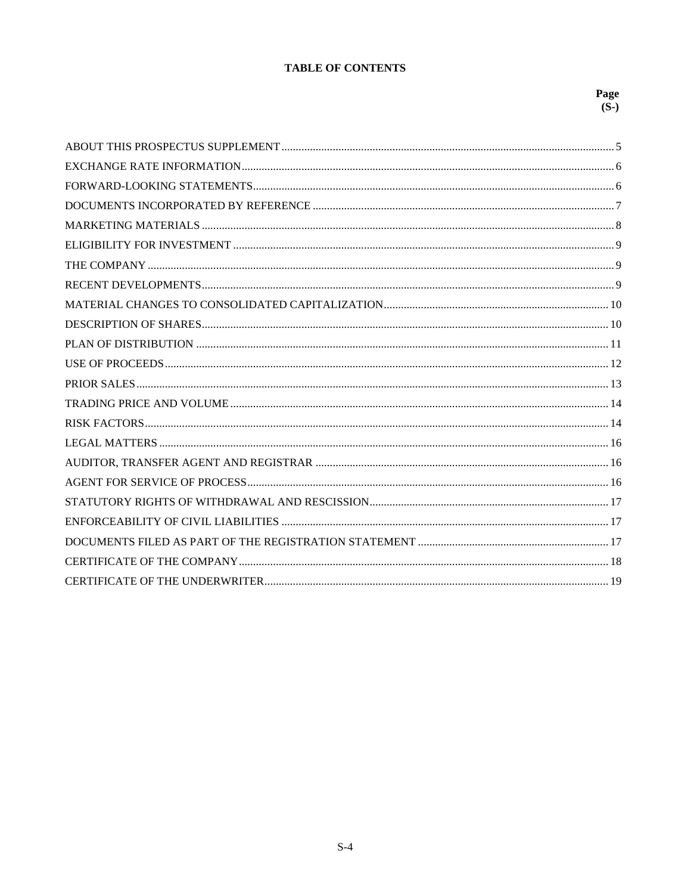# **TABLE OF CONTENTS**

# Page  $(S-)$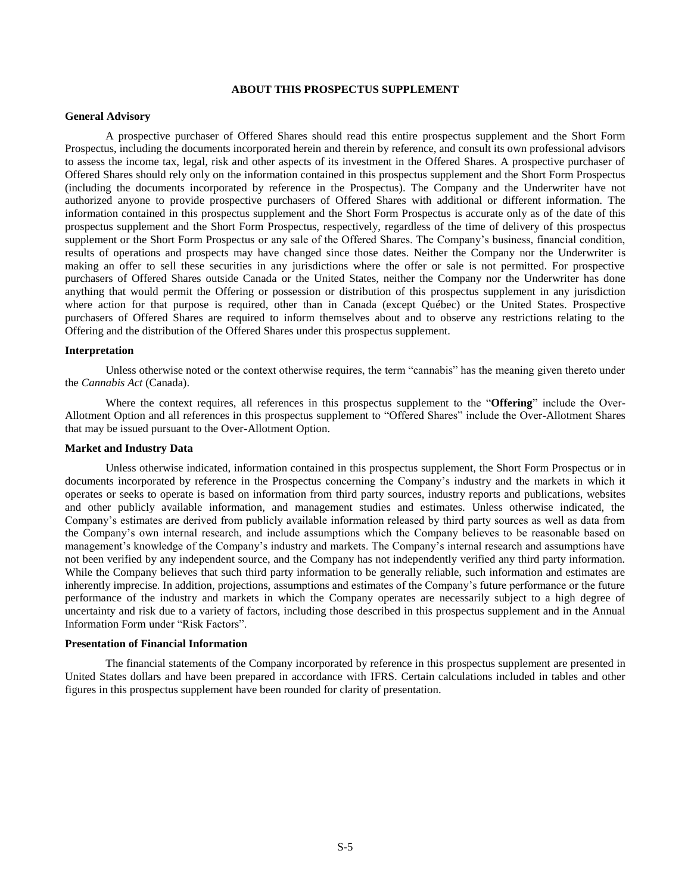#### **ABOUT THIS PROSPECTUS SUPPLEMENT**

#### <span id="page-4-1"></span><span id="page-4-0"></span>**General Advisory**

A prospective purchaser of Offered Shares should read this entire prospectus supplement and the Short Form Prospectus, including the documents incorporated herein and therein by reference, and consult its own professional advisors to assess the income tax, legal, risk and other aspects of its investment in the Offered Shares. A prospective purchaser of Offered Shares should rely only on the information contained in this prospectus supplement and the Short Form Prospectus (including the documents incorporated by reference in the Prospectus). The Company and the Underwriter have not authorized anyone to provide prospective purchasers of Offered Shares with additional or different information. The information contained in this prospectus supplement and the Short Form Prospectus is accurate only as of the date of this prospectus supplement and the Short Form Prospectus, respectively, regardless of the time of delivery of this prospectus supplement or the Short Form Prospectus or any sale of the Offered Shares. The Company's business, financial condition, results of operations and prospects may have changed since those dates. Neither the Company nor the Underwriter is making an offer to sell these securities in any jurisdictions where the offer or sale is not permitted. For prospective purchasers of Offered Shares outside Canada or the United States, neither the Company nor the Underwriter has done anything that would permit the Offering or possession or distribution of this prospectus supplement in any jurisdiction where action for that purpose is required, other than in Canada (except Québec) or the United States. Prospective purchasers of Offered Shares are required to inform themselves about and to observe any restrictions relating to the Offering and the distribution of the Offered Shares under this prospectus supplement.

#### **Interpretation**

Unless otherwise noted or the context otherwise requires, the term "cannabis" has the meaning given thereto under the *Cannabis Act* (Canada).

Where the context requires, all references in this prospectus supplement to the "**Offering**" include the Over-Allotment Option and all references in this prospectus supplement to "Offered Shares" include the Over-Allotment Shares that may be issued pursuant to the Over-Allotment Option.

# **Market and Industry Data**

Unless otherwise indicated, information contained in this prospectus supplement, the Short Form Prospectus or in documents incorporated by reference in the Prospectus concerning the Company's industry and the markets in which it operates or seeks to operate is based on information from third party sources, industry reports and publications, websites and other publicly available information, and management studies and estimates. Unless otherwise indicated, the Company's estimates are derived from publicly available information released by third party sources as well as data from the Company's own internal research, and include assumptions which the Company believes to be reasonable based on management's knowledge of the Company's industry and markets. The Company's internal research and assumptions have not been verified by any independent source, and the Company has not independently verified any third party information. While the Company believes that such third party information to be generally reliable, such information and estimates are inherently imprecise. In addition, projections, assumptions and estimates of the Company's future performance or the future performance of the industry and markets in which the Company operates are necessarily subject to a high degree of uncertainty and risk due to a variety of factors, including those described in this prospectus supplement and in the Annual Information Form under "Risk Factors".

#### **Presentation of Financial Information**

The financial statements of the Company incorporated by reference in this prospectus supplement are presented in United States dollars and have been prepared in accordance with IFRS. Certain calculations included in tables and other figures in this prospectus supplement have been rounded for clarity of presentation.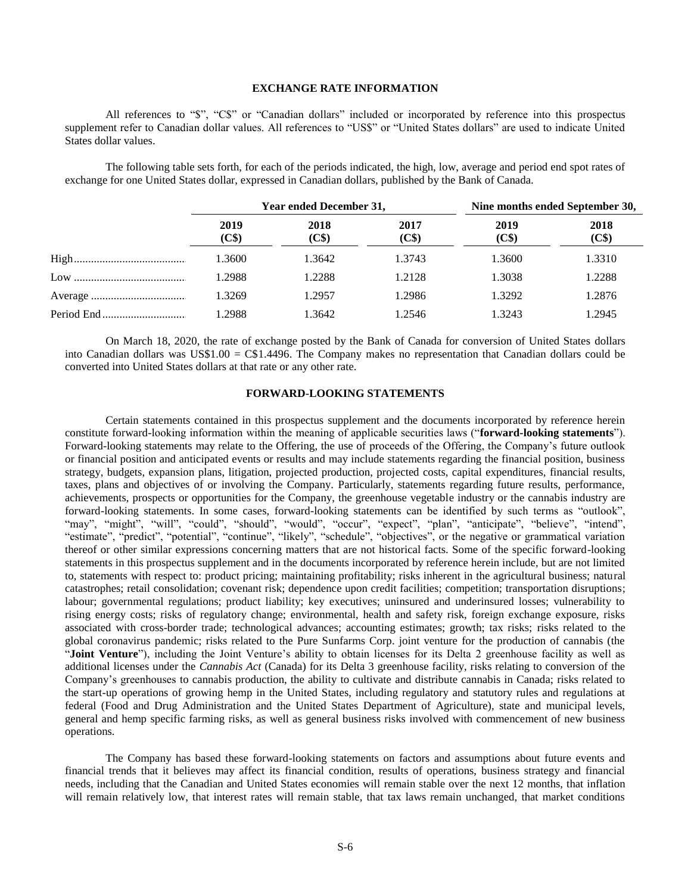## **EXCHANGE RATE INFORMATION**

All references to "\$", "C\$" or "Canadian dollars" included or incorporated by reference into this prospectus supplement refer to Canadian dollar values. All references to "US\$" or "United States dollars" are used to indicate United States dollar values.

The following table sets forth, for each of the periods indicated, the high, low, average and period end spot rates of exchange for one United States dollar, expressed in Canadian dollars, published by the Bank of Canada.

| Year ended December 31, |               |               | Nine months ended September 30, |               |  |
|-------------------------|---------------|---------------|---------------------------------|---------------|--|
| 2019<br>(C\$)           | 2018<br>(C\$) | 2017<br>(C\$) | 2019<br>(C\$)                   | 2018<br>(C\$) |  |
| 1.3600                  | 1.3642        | 1.3743        | 1.3600                          | 1.3310        |  |
| 1.2988                  | 1.2288        | 1.2128        | 1.3038                          | 1.2288        |  |
| 1.3269                  | 1.2957        | 1.2986        | 1.3292                          | 1.2876        |  |
| 1.2988                  | 1.3642        | 1.2546        | 1.3243                          | 1.2945        |  |

On March 18, 2020, the rate of exchange posted by the Bank of Canada for conversion of United States dollars into Canadian dollars was US\$1.00 = C\$1.4496. The Company makes no representation that Canadian dollars could be converted into United States dollars at that rate or any other rate.

#### **FORWARD-LOOKING STATEMENTS**

<span id="page-5-0"></span>Certain statements contained in this prospectus supplement and the documents incorporated by reference herein constitute forward-looking information within the meaning of applicable securities laws ("**forward-looking statements**"). Forward-looking statements may relate to the Offering, the use of proceeds of the Offering, the Company's future outlook or financial position and anticipated events or results and may include statements regarding the financial position, business strategy, budgets, expansion plans, litigation, projected production, projected costs, capital expenditures, financial results, taxes, plans and objectives of or involving the Company. Particularly, statements regarding future results, performance, achievements, prospects or opportunities for the Company, the greenhouse vegetable industry or the cannabis industry are forward-looking statements. In some cases, forward-looking statements can be identified by such terms as "outlook", "may", "might", "will", "could", "should", "would", "occur", "expect", "plan", "anticipate", "believe", "intend", "estimate", "predict", "potential", "continue", "likely", "schedule", "objectives", or the negative or grammatical variation thereof or other similar expressions concerning matters that are not historical facts. Some of the specific forward-looking statements in this prospectus supplement and in the documents incorporated by reference herein include, but are not limited to, statements with respect to: product pricing; maintaining profitability; risks inherent in the agricultural business; natural catastrophes; retail consolidation; covenant risk; dependence upon credit facilities; competition; transportation disruptions; labour; governmental regulations; product liability; key executives; uninsured and underinsured losses; vulnerability to rising energy costs; risks of regulatory change; environmental, health and safety risk, foreign exchange exposure, risks associated with cross-border trade; technological advances; accounting estimates; growth; tax risks; risks related to the global coronavirus pandemic; risks related to the Pure Sunfarms Corp. joint venture for the production of cannabis (the "**Joint Venture**"), including the Joint Venture's ability to obtain licenses for its Delta 2 greenhouse facility as well as additional licenses under the *Cannabis Act* (Canada) for its Delta 3 greenhouse facility, risks relating to conversion of the Company's greenhouses to cannabis production, the ability to cultivate and distribute cannabis in Canada; risks related to the start-up operations of growing hemp in the United States, including regulatory and statutory rules and regulations at federal (Food and Drug Administration and the United States Department of Agriculture), state and municipal levels, general and hemp specific farming risks, as well as general business risks involved with commencement of new business operations.

The Company has based these forward-looking statements on factors and assumptions about future events and financial trends that it believes may affect its financial condition, results of operations, business strategy and financial needs, including that the Canadian and United States economies will remain stable over the next 12 months, that inflation will remain relatively low, that interest rates will remain stable, that tax laws remain unchanged, that market conditions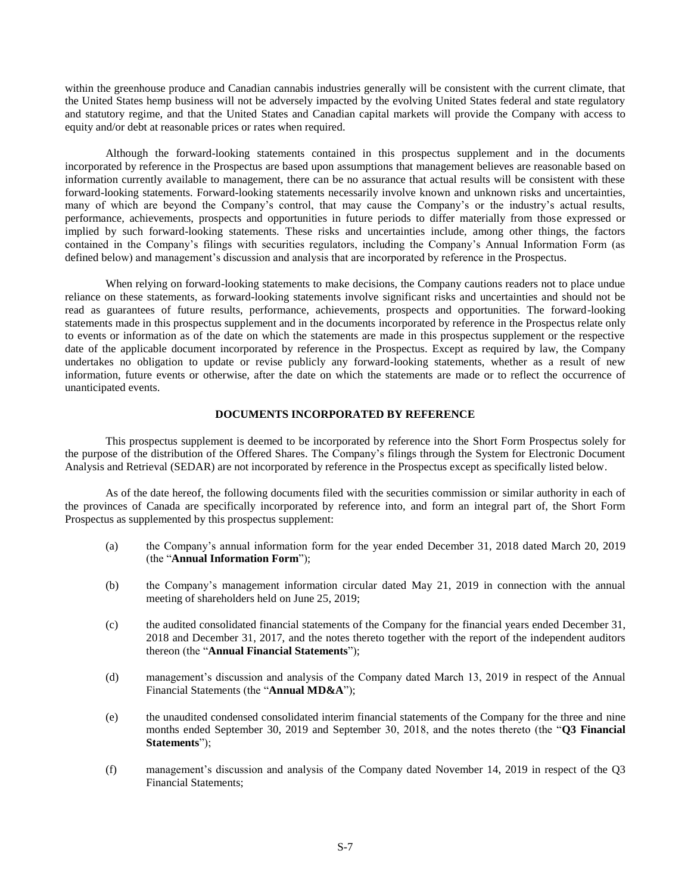within the greenhouse produce and Canadian cannabis industries generally will be consistent with the current climate, that the United States hemp business will not be adversely impacted by the evolving United States federal and state regulatory and statutory regime, and that the United States and Canadian capital markets will provide the Company with access to equity and/or debt at reasonable prices or rates when required.

Although the forward-looking statements contained in this prospectus supplement and in the documents incorporated by reference in the Prospectus are based upon assumptions that management believes are reasonable based on information currently available to management, there can be no assurance that actual results will be consistent with these forward-looking statements. Forward-looking statements necessarily involve known and unknown risks and uncertainties, many of which are beyond the Company's control, that may cause the Company's or the industry's actual results, performance, achievements, prospects and opportunities in future periods to differ materially from those expressed or implied by such forward-looking statements. These risks and uncertainties include, among other things, the factors contained in the Company's filings with securities regulators, including the Company's Annual Information Form (as defined below) and management's discussion and analysis that are incorporated by reference in the Prospectus.

When relying on forward-looking statements to make decisions, the Company cautions readers not to place undue reliance on these statements, as forward-looking statements involve significant risks and uncertainties and should not be read as guarantees of future results, performance, achievements, prospects and opportunities. The forward-looking statements made in this prospectus supplement and in the documents incorporated by reference in the Prospectus relate only to events or information as of the date on which the statements are made in this prospectus supplement or the respective date of the applicable document incorporated by reference in the Prospectus. Except as required by law, the Company undertakes no obligation to update or revise publicly any forward-looking statements, whether as a result of new information, future events or otherwise, after the date on which the statements are made or to reflect the occurrence of unanticipated events.

# **DOCUMENTS INCORPORATED BY REFERENCE**

<span id="page-6-0"></span>This prospectus supplement is deemed to be incorporated by reference into the Short Form Prospectus solely for the purpose of the distribution of the Offered Shares. The Company's filings through the System for Electronic Document Analysis and Retrieval (SEDAR) are not incorporated by reference in the Prospectus except as specifically listed below.

As of the date hereof, the following documents filed with the securities commission or similar authority in each of the provinces of Canada are specifically incorporated by reference into, and form an integral part of, the Short Form Prospectus as supplemented by this prospectus supplement:

- <span id="page-6-1"></span>(a) the Company's annual information form for the year ended December 31, 2018 dated March 20, 2019 (the "**Annual Information Form**");
- (b) the Company's management information circular dated May 21, 2019 in connection with the annual meeting of shareholders held on June 25, 2019;
- (c) the audited consolidated financial statements of the Company for the financial years ended December 31, 2018 and December 31, 2017, and the notes thereto together with the report of the independent auditors thereon (the "**Annual Financial Statements**");
- (d) management's discussion and analysis of the Company dated March 13, 2019 in respect of the Annual Financial Statements (the "**Annual MD&A**");
- (e) the unaudited condensed consolidated interim financial statements of the Company for the three and nine months ended September 30, 2019 and September 30, 2018, and the notes thereto (the "**Q3 Financial Statements**");
- (f) management's discussion and analysis of the Company dated November 14, 2019 in respect of the Q3 Financial Statements;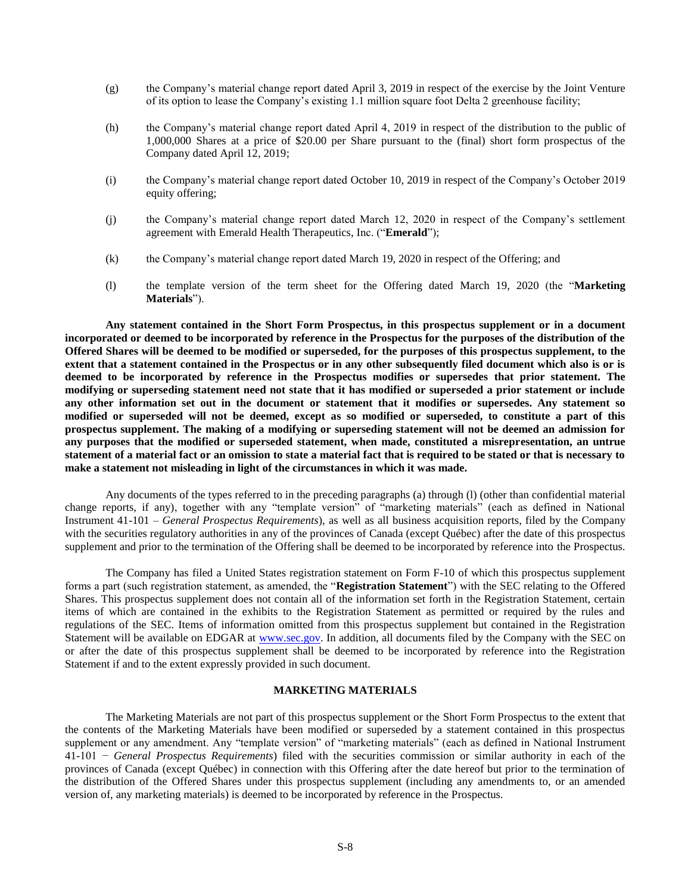- <span id="page-7-1"></span>(g) the Company's material change report dated April 3, 2019 in respect of the exercise by the Joint Venture of its option to lease the Company's existing 1.1 million square foot Delta 2 greenhouse facility;
- (h) the Company's material change report dated April 4, 2019 in respect of the distribution to the public of 1,000,000 Shares at a price of \$20.00 per Share pursuant to the (final) short form prospectus of the Company dated April 12, 2019;
- (i) the Company's material change report dated October 10, 2019 in respect of the Company's October 2019 equity offering;
- (j) the Company's material change report dated March 12, 2020 in respect of the Company's settlement agreement with Emerald Health Therapeutics, Inc. ("**Emerald**");
- (k) the Company's material change report dated March 19, 2020 in respect of the Offering; and
- (l) the template version of the term sheet for the Offering dated March 19, 2020 (the "**Marketing Materials**").

<span id="page-7-2"></span>**Any statement contained in the Short Form Prospectus, in this prospectus supplement or in a document incorporated or deemed to be incorporated by reference in the Prospectus for the purposes of the distribution of the Offered Shares will be deemed to be modified or superseded, for the purposes of this prospectus supplement, to the extent that a statement contained in the Prospectus or in any other subsequently filed document which also is or is deemed to be incorporated by reference in the Prospectus modifies or supersedes that prior statement. The modifying or superseding statement need not state that it has modified or superseded a prior statement or include any other information set out in the document or statement that it modifies or supersedes. Any statement so modified or superseded will not be deemed, except as so modified or superseded, to constitute a part of this prospectus supplement. The making of a modifying or superseding statement will not be deemed an admission for any purposes that the modified or superseded statement, when made, constituted a misrepresentation, an untrue statement of a material fact or an omission to state a material fact that is required to be stated or that is necessary to make a statement not misleading in light of the circumstances in which it was made.**

Any documents of the types referred to in the preceding paragraphs [\(a\)](#page-6-1) through [\(l\)](#page-7-2) (other than confidential material change reports, if any), together with any "template version" of "marketing materials" (each as defined in National Instrument 41-101 – *General Prospectus Requirements*), as well as all business acquisition reports, filed by the Company with the securities regulatory authorities in any of the provinces of Canada (except Québec) after the date of this prospectus supplement and prior to the termination of the Offering shall be deemed to be incorporated by reference into the Prospectus.

The Company has filed a United States registration statement on Form F-10 of which this prospectus supplement forms a part (such registration statement, as amended, the "**Registration Statement**") with the SEC relating to the Offered Shares. This prospectus supplement does not contain all of the information set forth in the Registration Statement, certain items of which are contained in the exhibits to the Registration Statement as permitted or required by the rules and regulations of the SEC. Items of information omitted from this prospectus supplement but contained in the Registration Statement will be available on EDGAR at [www.sec.gov.](http://www.sec.gov/) In addition, all documents filed by the Company with the SEC on or after the date of this prospectus supplement shall be deemed to be incorporated by reference into the Registration Statement if and to the extent expressly provided in such document.

# **MARKETING MATERIALS**

<span id="page-7-0"></span>The Marketing Materials are not part of this prospectus supplement or the Short Form Prospectus to the extent that the contents of the Marketing Materials have been modified or superseded by a statement contained in this prospectus supplement or any amendment. Any "template version" of "marketing materials" (each as defined in National Instrument 41-101 − *General Prospectus Requirements*) filed with the securities commission or similar authority in each of the provinces of Canada (except Québec) in connection with this Offering after the date hereof but prior to the termination of the distribution of the Offered Shares under this prospectus supplement (including any amendments to, or an amended version of, any marketing materials) is deemed to be incorporated by reference in the Prospectus.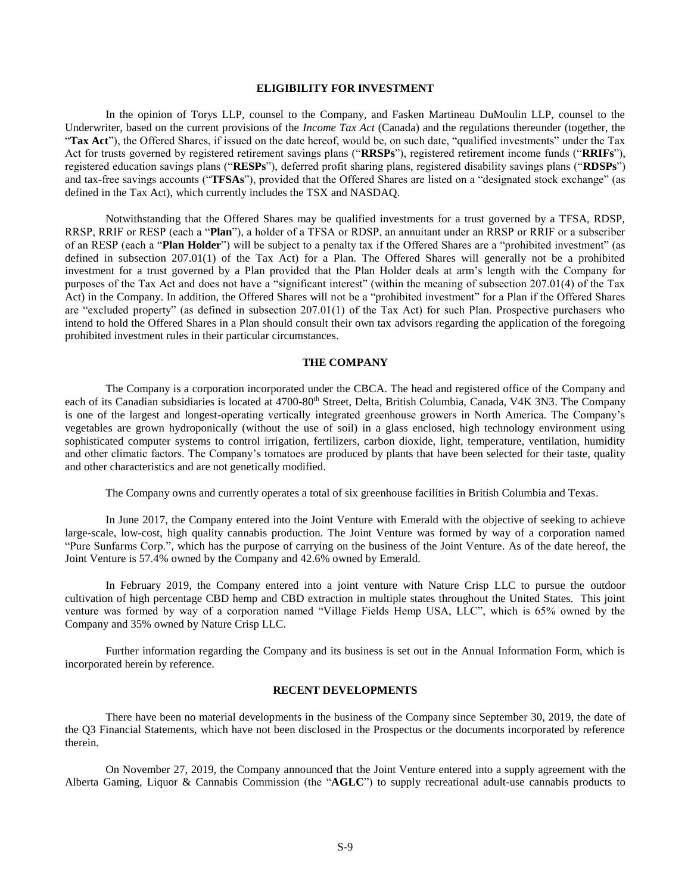### **ELIGIBILITY FOR INVESTMENT**

In the opinion of Torys LLP, counsel to the Company, and Fasken Martineau DuMoulin LLP, counsel to the Underwriter, based on the current provisions of the *Income Tax Act* (Canada) and the regulations thereunder (together, the "**Tax Act**"), the Offered Shares, if issued on the date hereof, would be, on such date, "qualified investments" under the Tax Act for trusts governed by registered retirement savings plans ("**RRSPs**"), registered retirement income funds ("**RRIFs**"), registered education savings plans ("**RESPs**"), deferred profit sharing plans, registered disability savings plans ("**RDSPs**") and tax-free savings accounts ("**TFSAs**"), provided that the Offered Shares are listed on a "designated stock exchange" (as defined in the Tax Act), which currently includes the TSX and NASDAQ.

Notwithstanding that the Offered Shares may be qualified investments for a trust governed by a TFSA, RDSP, RRSP, RRIF or RESP (each a "**Plan**"), a holder of a TFSA or RDSP, an annuitant under an RRSP or RRIF or a subscriber of an RESP (each a "**Plan Holder**") will be subject to a penalty tax if the Offered Shares are a "prohibited investment" (as defined in subsection 207.01(1) of the Tax Act) for a Plan. The Offered Shares will generally not be a prohibited investment for a trust governed by a Plan provided that the Plan Holder deals at arm's length with the Company for purposes of the Tax Act and does not have a "significant interest" (within the meaning of subsection 207.01(4) of the Tax Act) in the Company. In addition, the Offered Shares will not be a "prohibited investment" for a Plan if the Offered Shares are "excluded property" (as defined in subsection 207.01(1) of the Tax Act) for such Plan. Prospective purchasers who intend to hold the Offered Shares in a Plan should consult their own tax advisors regarding the application of the foregoing prohibited investment rules in their particular circumstances.

#### **THE COMPANY**

<span id="page-8-0"></span>The Company is a corporation incorporated under the CBCA. The head and registered office of the Company and each of its Canadian subsidiaries is located at 4700-80<sup>th</sup> Street, Delta, British Columbia, Canada, V4K 3N3. The Company is one of the largest and longest-operating vertically integrated greenhouse growers in North America. The Company's vegetables are grown hydroponically (without the use of soil) in a glass enclosed, high technology environment using sophisticated computer systems to control irrigation, fertilizers, carbon dioxide, light, temperature, ventilation, humidity and other climatic factors. The Company's tomatoes are produced by plants that have been selected for their taste, quality and other characteristics and are not genetically modified.

The Company owns and currently operates a total of six greenhouse facilities in British Columbia and Texas.

In June 2017, the Company entered into the Joint Venture with Emerald with the objective of seeking to achieve large-scale, low-cost, high quality cannabis production. The Joint Venture was formed by way of a corporation named "Pure Sunfarms Corp.", which has the purpose of carrying on the business of the Joint Venture. As of the date hereof, the Joint Venture is 57.4% owned by the Company and 42.6% owned by Emerald.

In February 2019, the Company entered into a joint venture with Nature Crisp LLC to pursue the outdoor cultivation of high percentage CBD hemp and CBD extraction in multiple states throughout the United States. This joint venture was formed by way of a corporation named "Village Fields Hemp USA, LLC", which is 65% owned by the Company and 35% owned by Nature Crisp LLC.

Further information regarding the Company and its business is set out in the Annual Information Form, which is incorporated herein by reference.

# **RECENT DEVELOPMENTS**

<span id="page-8-1"></span>There have been no material developments in the business of the Company since September 30, 2019, the date of the Q3 Financial Statements, which have not been disclosed in the Prospectus or the documents incorporated by reference therein.

On November 27, 2019, the Company announced that the Joint Venture entered into a supply agreement with the Alberta Gaming, Liquor & Cannabis Commission (the "**AGLC**") to supply recreational adult-use cannabis products to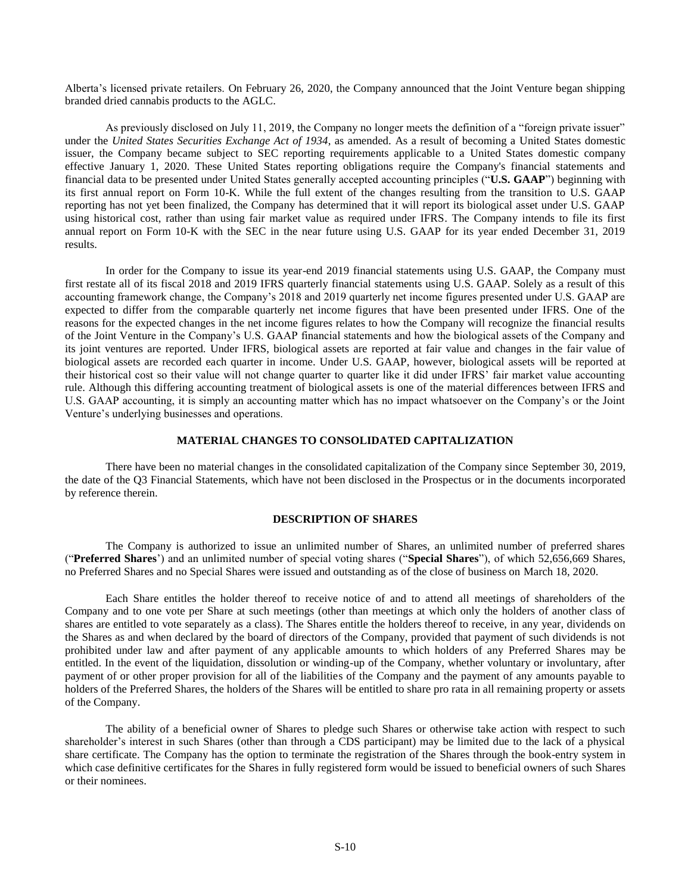Alberta's licensed private retailers. On February 26, 2020, the Company announced that the Joint Venture began shipping branded dried cannabis products to the AGLC.

As previously disclosed on July 11, 2019, the Company no longer meets the definition of a "foreign private issuer" under the *United States Securities Exchange Act of 1934*, as amended. As a result of becoming a United States domestic issuer, the Company became subject to SEC reporting requirements applicable to a United States domestic company effective January 1, 2020. These United States reporting obligations require the Company's financial statements and financial data to be presented under United States generally accepted accounting principles ("**U.S. GAAP**") beginning with its first annual report on Form 10-K. While the full extent of the changes resulting from the transition to U.S. GAAP reporting has not yet been finalized, the Company has determined that it will report its biological asset under U.S. GAAP using historical cost, rather than using fair market value as required under IFRS. The Company intends to file its first annual report on Form 10-K with the SEC in the near future using U.S. GAAP for its year ended December 31, 2019 results.

In order for the Company to issue its year-end 2019 financial statements using U.S. GAAP, the Company must first restate all of its fiscal 2018 and 2019 IFRS quarterly financial statements using U.S. GAAP. Solely as a result of this accounting framework change, the Company's 2018 and 2019 quarterly net income figures presented under U.S. GAAP are expected to differ from the comparable quarterly net income figures that have been presented under IFRS. One of the reasons for the expected changes in the net income figures relates to how the Company will recognize the financial results of the Joint Venture in the Company's U.S. GAAP financial statements and how the biological assets of the Company and its joint ventures are reported. Under IFRS, biological assets are reported at fair value and changes in the fair value of biological assets are recorded each quarter in income. Under U.S. GAAP, however, biological assets will be reported at their historical cost so their value will not change quarter to quarter like it did under IFRS' fair market value accounting rule. Although this differing accounting treatment of biological assets is one of the material differences between IFRS and U.S. GAAP accounting, it is simply an accounting matter which has no impact whatsoever on the Company's or the Joint Venture's underlying businesses and operations.

# **MATERIAL CHANGES TO CONSOLIDATED CAPITALIZATION**

<span id="page-9-0"></span>There have been no material changes in the consolidated capitalization of the Company since September 30, 2019, the date of the Q3 Financial Statements, which have not been disclosed in the Prospectus or in the documents incorporated by reference therein.

#### **DESCRIPTION OF SHARES**

<span id="page-9-1"></span>The Company is authorized to issue an unlimited number of Shares, an unlimited number of preferred shares ("**Preferred Shares**') and an unlimited number of special voting shares ("**Special Shares**"), of which 52,656,669 Shares, no Preferred Shares and no Special Shares were issued and outstanding as of the close of business on March 18, 2020.

Each Share entitles the holder thereof to receive notice of and to attend all meetings of shareholders of the Company and to one vote per Share at such meetings (other than meetings at which only the holders of another class of shares are entitled to vote separately as a class). The Shares entitle the holders thereof to receive, in any year, dividends on the Shares as and when declared by the board of directors of the Company, provided that payment of such dividends is not prohibited under law and after payment of any applicable amounts to which holders of any Preferred Shares may be entitled. In the event of the liquidation, dissolution or winding-up of the Company, whether voluntary or involuntary, after payment of or other proper provision for all of the liabilities of the Company and the payment of any amounts payable to holders of the Preferred Shares, the holders of the Shares will be entitled to share pro rata in all remaining property or assets of the Company.

The ability of a beneficial owner of Shares to pledge such Shares or otherwise take action with respect to such shareholder's interest in such Shares (other than through a CDS participant) may be limited due to the lack of a physical share certificate. The Company has the option to terminate the registration of the Shares through the book-entry system in which case definitive certificates for the Shares in fully registered form would be issued to beneficial owners of such Shares or their nominees.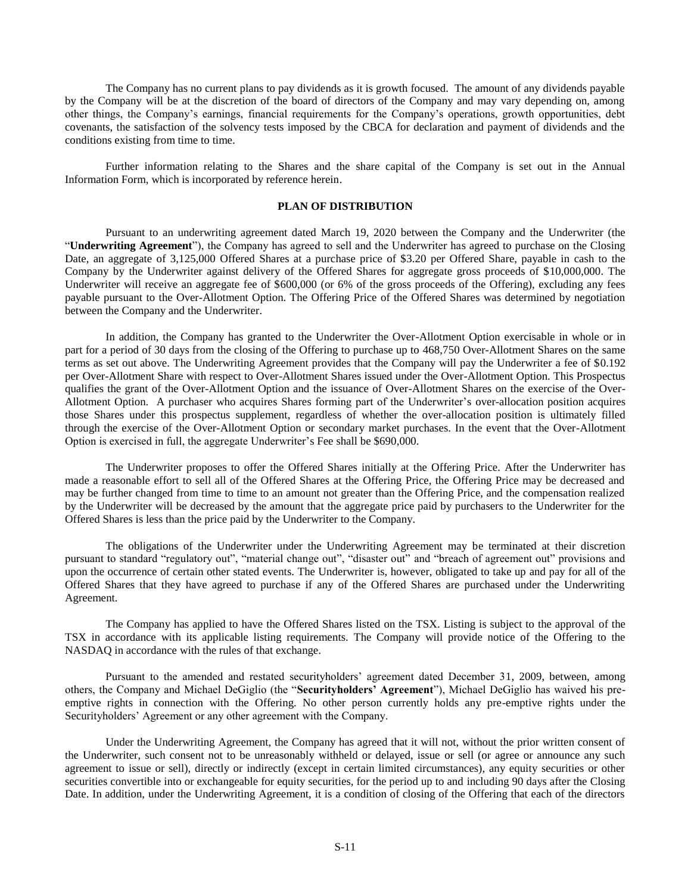The Company has no current plans to pay dividends as it is growth focused. The amount of any dividends payable by the Company will be at the discretion of the board of directors of the Company and may vary depending on, among other things, the Company's earnings, financial requirements for the Company's operations, growth opportunities, debt covenants, the satisfaction of the solvency tests imposed by the CBCA for declaration and payment of dividends and the conditions existing from time to time.

Further information relating to the Shares and the share capital of the Company is set out in the Annual Information Form, which is incorporated by reference herein.

## **PLAN OF DISTRIBUTION**

<span id="page-10-0"></span>Pursuant to an underwriting agreement dated March 19, 2020 between the Company and the Underwriter (the "**Underwriting Agreement**"), the Company has agreed to sell and the Underwriter has agreed to purchase on the Closing Date, an aggregate of 3,125,000 Offered Shares at a purchase price of \$3.20 per Offered Share, payable in cash to the Company by the Underwriter against delivery of the Offered Shares for aggregate gross proceeds of \$10,000,000. The Underwriter will receive an aggregate fee of \$600,000 (or 6% of the gross proceeds of the Offering), excluding any fees payable pursuant to the Over-Allotment Option. The Offering Price of the Offered Shares was determined by negotiation between the Company and the Underwriter.

In addition, the Company has granted to the Underwriter the Over-Allotment Option exercisable in whole or in part for a period of 30 days from the closing of the Offering to purchase up to 468,750 Over-Allotment Shares on the same terms as set out above. The Underwriting Agreement provides that the Company will pay the Underwriter a fee of \$0.192 per Over-Allotment Share with respect to Over-Allotment Shares issued under the Over-Allotment Option. This Prospectus qualifies the grant of the Over-Allotment Option and the issuance of Over-Allotment Shares on the exercise of the Over-Allotment Option. A purchaser who acquires Shares forming part of the Underwriter's over-allocation position acquires those Shares under this prospectus supplement, regardless of whether the over-allocation position is ultimately filled through the exercise of the Over-Allotment Option or secondary market purchases. In the event that the Over-Allotment Option is exercised in full, the aggregate Underwriter's Fee shall be \$690,000.

The Underwriter proposes to offer the Offered Shares initially at the Offering Price. After the Underwriter has made a reasonable effort to sell all of the Offered Shares at the Offering Price, the Offering Price may be decreased and may be further changed from time to time to an amount not greater than the Offering Price, and the compensation realized by the Underwriter will be decreased by the amount that the aggregate price paid by purchasers to the Underwriter for the Offered Shares is less than the price paid by the Underwriter to the Company.

The obligations of the Underwriter under the Underwriting Agreement may be terminated at their discretion pursuant to standard "regulatory out", "material change out", "disaster out" and "breach of agreement out" provisions and upon the occurrence of certain other stated events. The Underwriter is, however, obligated to take up and pay for all of the Offered Shares that they have agreed to purchase if any of the Offered Shares are purchased under the Underwriting Agreement.

The Company has applied to have the Offered Shares listed on the TSX. Listing is subject to the approval of the TSX in accordance with its applicable listing requirements. The Company will provide notice of the Offering to the NASDAQ in accordance with the rules of that exchange.

Pursuant to the amended and restated securityholders' agreement dated December 31, 2009, between, among others, the Company and Michael DeGiglio (the "**Securityholders' Agreement**"), Michael DeGiglio has waived his preemptive rights in connection with the Offering. No other person currently holds any pre-emptive rights under the Securityholders' Agreement or any other agreement with the Company.

Under the Underwriting Agreement, the Company has agreed that it will not, without the prior written consent of the Underwriter, such consent not to be unreasonably withheld or delayed, issue or sell (or agree or announce any such agreement to issue or sell), directly or indirectly (except in certain limited circumstances), any equity securities or other securities convertible into or exchangeable for equity securities, for the period up to and including 90 days after the Closing Date. In addition, under the Underwriting Agreement, it is a condition of closing of the Offering that each of the directors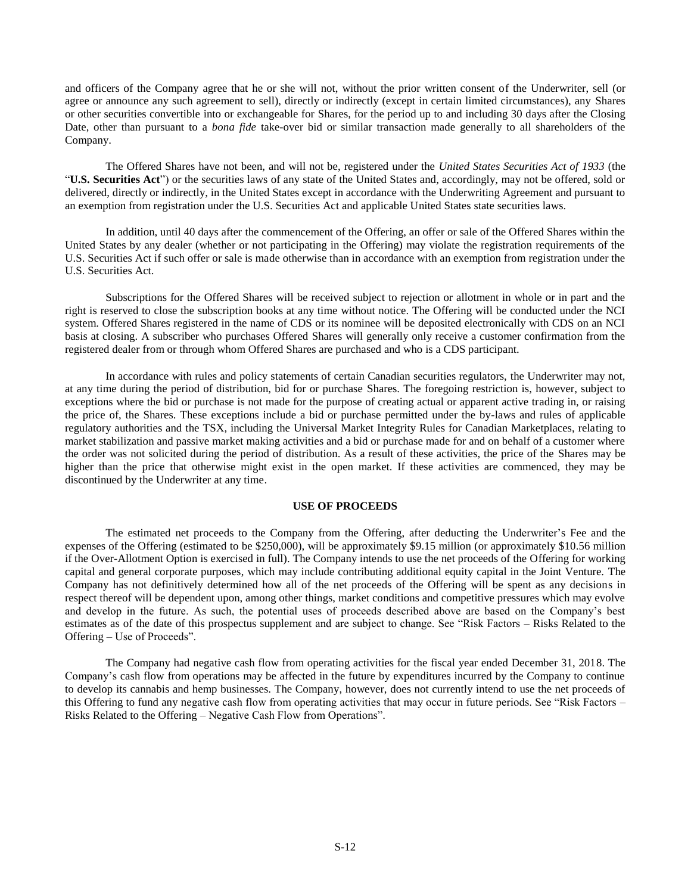<span id="page-11-1"></span>and officers of the Company agree that he or she will not, without the prior written consent of the Underwriter, sell (or agree or announce any such agreement to sell), directly or indirectly (except in certain limited circumstances), any Shares or other securities convertible into or exchangeable for Shares, for the period up to and including 30 days after the Closing Date, other than pursuant to a *bona fide* take-over bid or similar transaction made generally to all shareholders of the Company.

The Offered Shares have not been, and will not be, registered under the *United States Securities Act of 1933* (the "**U.S. Securities Act**") or the securities laws of any state of the United States and, accordingly, may not be offered, sold or delivered, directly or indirectly, in the United States except in accordance with the Underwriting Agreement and pursuant to an exemption from registration under the U.S. Securities Act and applicable United States state securities laws.

In addition, until 40 days after the commencement of the Offering, an offer or sale of the Offered Shares within the United States by any dealer (whether or not participating in the Offering) may violate the registration requirements of the U.S. Securities Act if such offer or sale is made otherwise than in accordance with an exemption from registration under the U.S. Securities Act.

Subscriptions for the Offered Shares will be received subject to rejection or allotment in whole or in part and the right is reserved to close the subscription books at any time without notice. The Offering will be conducted under the NCI system. Offered Shares registered in the name of CDS or its nominee will be deposited electronically with CDS on an NCI basis at closing. A subscriber who purchases Offered Shares will generally only receive a customer confirmation from the registered dealer from or through whom Offered Shares are purchased and who is a CDS participant.

In accordance with rules and policy statements of certain Canadian securities regulators, the Underwriter may not, at any time during the period of distribution, bid for or purchase Shares. The foregoing restriction is, however, subject to exceptions where the bid or purchase is not made for the purpose of creating actual or apparent active trading in, or raising the price of, the Shares. These exceptions include a bid or purchase permitted under the by-laws and rules of applicable regulatory authorities and the TSX, including the Universal Market Integrity Rules for Canadian Marketplaces, relating to market stabilization and passive market making activities and a bid or purchase made for and on behalf of a customer where the order was not solicited during the period of distribution. As a result of these activities, the price of the Shares may be higher than the price that otherwise might exist in the open market. If these activities are commenced, they may be discontinued by the Underwriter at any time.

#### **USE OF PROCEEDS**

<span id="page-11-0"></span>The estimated net proceeds to the Company from the Offering, after deducting the Underwriter's Fee and the expenses of the Offering (estimated to be \$250,000), will be approximately \$9.15 million (or approximately \$10.56 million if the Over-Allotment Option is exercised in full). The Company intends to use the net proceeds of the Offering for working capital and general corporate purposes, which may include contributing additional equity capital in the Joint Venture. The Company has not definitively determined how all of the net proceeds of the Offering will be spent as any decisions in respect thereof will be dependent upon, among other things, market conditions and competitive pressures which may evolve and develop in the future. As such, the potential uses of proceeds described above are based on the Company's best estimates as of the date of this prospectus supplement and are subject to change. See "Risk Factors – Risks Related to the Offering – Use of Proceeds".

The Company had negative cash flow from operating activities for the fiscal year ended December 31, 2018. The Company's cash flow from operations may be affected in the future by expenditures incurred by the Company to continue to develop its cannabis and hemp businesses. The Company, however, does not currently intend to use the net proceeds of this Offering to fund any negative cash flow from operating activities that may occur in future periods. See "Risk Factors – Risks Related to the Offering – Negative Cash Flow from Operations".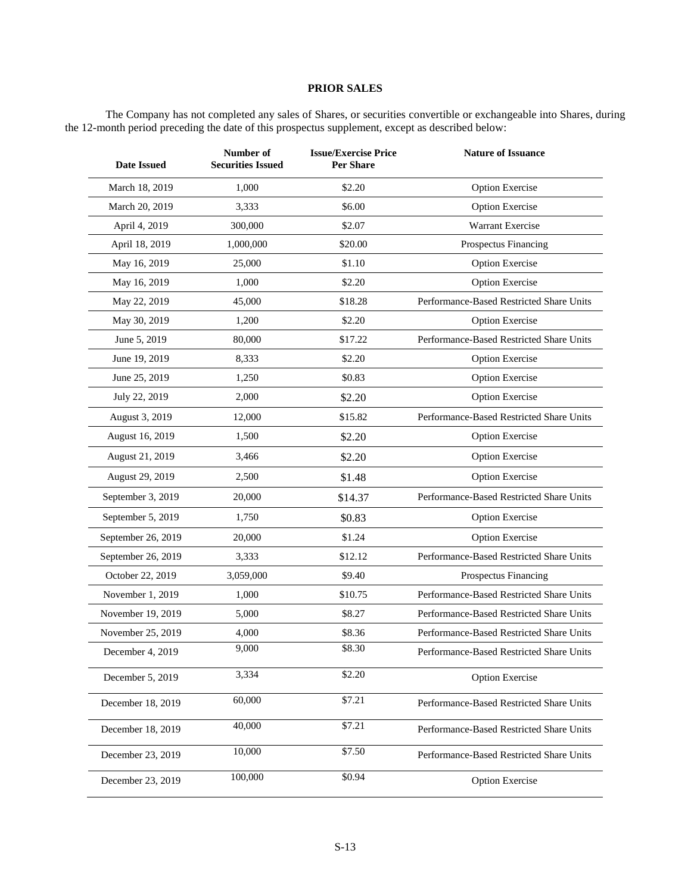# **PRIOR SALES**

The Company has not completed any sales of Shares, or securities convertible or exchangeable into Shares, during the 12-month period preceding the date of this prospectus supplement, except as described below:

| <b>Date Issued</b> | Number of<br><b>Securities Issued</b> | <b>Issue/Exercise Price</b><br><b>Per Share</b> | <b>Nature of Issuance</b>                |
|--------------------|---------------------------------------|-------------------------------------------------|------------------------------------------|
| March 18, 2019     | 1,000                                 | \$2.20                                          | <b>Option Exercise</b>                   |
| March 20, 2019     | 3,333                                 | \$6.00                                          | <b>Option Exercise</b>                   |
| April 4, 2019      | 300,000                               | \$2.07                                          | Warrant Exercise                         |
| April 18, 2019     | 1,000,000                             | \$20.00                                         | Prospectus Financing                     |
| May 16, 2019       | 25,000                                | \$1.10                                          | <b>Option Exercise</b>                   |
| May 16, 2019       | 1,000                                 | \$2.20                                          | <b>Option Exercise</b>                   |
| May 22, 2019       | 45,000                                | \$18.28                                         | Performance-Based Restricted Share Units |
| May 30, 2019       | 1,200                                 | \$2.20                                          | <b>Option Exercise</b>                   |
| June 5, 2019       | 80,000                                | \$17.22                                         | Performance-Based Restricted Share Units |
| June 19, 2019      | 8,333                                 | \$2.20                                          | <b>Option Exercise</b>                   |
| June 25, 2019      | 1,250                                 | \$0.83                                          | <b>Option Exercise</b>                   |
| July 22, 2019      | 2,000                                 | \$2.20                                          | <b>Option Exercise</b>                   |
| August 3, 2019     | 12,000                                | \$15.82                                         | Performance-Based Restricted Share Units |
| August 16, 2019    | 1,500                                 | \$2.20                                          | <b>Option Exercise</b>                   |
| August 21, 2019    | 3,466                                 | \$2.20                                          | <b>Option Exercise</b>                   |
| August 29, 2019    | 2,500                                 | \$1.48                                          | <b>Option Exercise</b>                   |
| September 3, 2019  | 20,000                                | \$14.37                                         | Performance-Based Restricted Share Units |
| September 5, 2019  | 1,750                                 | \$0.83                                          | <b>Option Exercise</b>                   |
| September 26, 2019 | 20,000                                | \$1.24                                          | <b>Option Exercise</b>                   |
| September 26, 2019 | 3,333                                 | \$12.12                                         | Performance-Based Restricted Share Units |
| October 22, 2019   | 3,059,000                             | \$9.40                                          | Prospectus Financing                     |
| November 1, 2019   | 1,000                                 | \$10.75                                         | Performance-Based Restricted Share Units |
| November 19, 2019  | 5,000                                 | \$8.27                                          | Performance-Based Restricted Share Units |
| November 25, 2019  | 4,000                                 | \$8.36                                          | Performance-Based Restricted Share Units |
| December 4, 2019   | 9,000                                 | \$8.30                                          | Performance-Based Restricted Share Units |
| December 5, 2019   | 3,334                                 | \$2.20                                          | <b>Option Exercise</b>                   |
| December 18, 2019  | 60,000                                | \$7.21                                          | Performance-Based Restricted Share Units |
| December 18, 2019  | 40,000                                | \$7.21                                          | Performance-Based Restricted Share Units |
| December 23, 2019  | 10,000                                | \$7.50                                          | Performance-Based Restricted Share Units |
| December 23, 2019  | 100,000                               | \$0.94                                          | <b>Option Exercise</b>                   |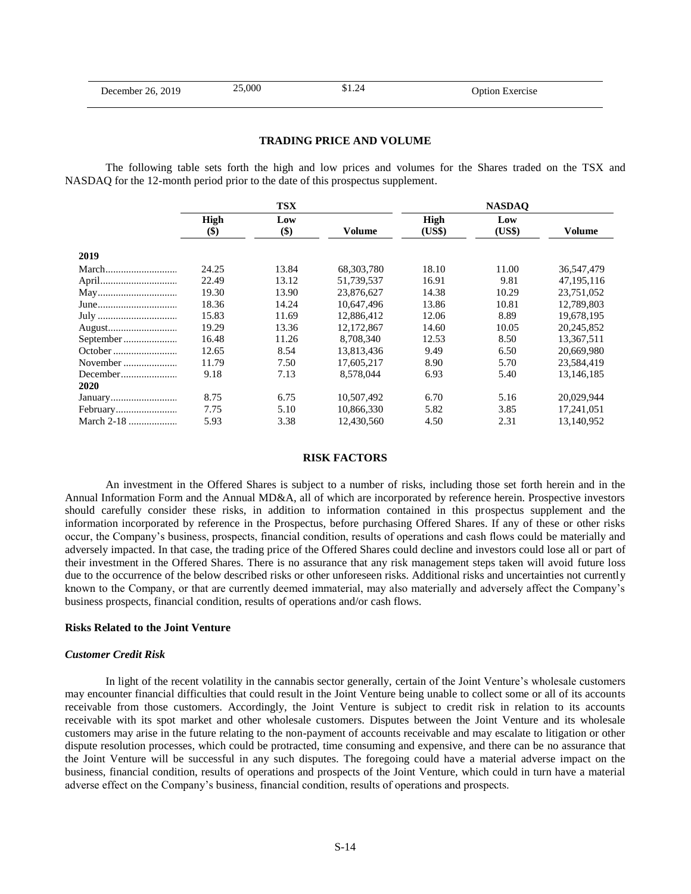#### **TRADING PRICE AND VOLUME**

<span id="page-13-0"></span>The following table sets forth the high and low prices and volumes for the Shares traded on the TSX and NASDAQ for the 12-month period prior to the date of this prospectus supplement.

|              | <b>TSX</b>                |       |            | <b>NASDAO</b> |        |            |  |
|--------------|---------------------------|-------|------------|---------------|--------|------------|--|
|              | High                      | Low   |            | High          | Low    |            |  |
|              | $\left( \text{\$}\right)$ | $($)$ | Volume     | (US\$)        | (US\$) | Volume     |  |
| 2019         |                           |       |            |               |        |            |  |
|              | 24.25                     | 13.84 | 68.303.780 | 18.10         | 11.00  | 36,547,479 |  |
|              | 22.49                     | 13.12 | 51,739,537 | 16.91         | 9.81   | 47,195,116 |  |
|              | 19.30                     | 13.90 | 23,876,627 | 14.38         | 10.29  | 23,751,052 |  |
|              | 18.36                     | 14.24 | 10.647.496 | 13.86         | 10.81  | 12.789.803 |  |
|              | 15.83                     | 11.69 | 12,886,412 | 12.06         | 8.89   | 19,678,195 |  |
|              | 19.29                     | 13.36 | 12.172.867 | 14.60         | 10.05  | 20.245.852 |  |
|              | 16.48                     | 11.26 | 8.708.340  | 12.53         | 8.50   | 13,367,511 |  |
|              | 12.65                     | 8.54  | 13,813,436 | 9.49          | 6.50   | 20,669,980 |  |
| November     | 11.79                     | 7.50  | 17,605,217 | 8.90          | 5.70   | 23,584,419 |  |
| December     | 9.18                      | 7.13  | 8,578,044  | 6.93          | 5.40   | 13,146,185 |  |
| 2020         |                           |       |            |               |        |            |  |
|              | 8.75                      | 6.75  | 10,507,492 | 6.70          | 5.16   | 20,029,944 |  |
|              | 7.75                      | 5.10  | 10,866,330 | 5.82          | 3.85   | 17,241,051 |  |
| March $2-18$ | 5.93                      | 3.38  | 12,430,560 | 4.50          | 2.31   | 13,140,952 |  |

#### **RISK FACTORS**

<span id="page-13-1"></span>An investment in the Offered Shares is subject to a number of risks, including those set forth herein and in the Annual Information Form and the Annual MD&A, all of which are incorporated by reference herein. Prospective investors should carefully consider these risks, in addition to information contained in this prospectus supplement and the information incorporated by reference in the Prospectus, before purchasing Offered Shares. If any of these or other risks occur, the Company's business, prospects, financial condition, results of operations and cash flows could be materially and adversely impacted. In that case, the trading price of the Offered Shares could decline and investors could lose all or part of their investment in the Offered Shares. There is no assurance that any risk management steps taken will avoid future loss due to the occurrence of the below described risks or other unforeseen risks. Additional risks and uncertainties not currently known to the Company, or that are currently deemed immaterial, may also materially and adversely affect the Company's business prospects, financial condition, results of operations and/or cash flows.

#### **Risks Related to the Joint Venture**

### *Customer Credit Risk*

In light of the recent volatility in the cannabis sector generally, certain of the Joint Venture's wholesale customers may encounter financial difficulties that could result in the Joint Venture being unable to collect some or all of its accounts receivable from those customers. Accordingly, the Joint Venture is subject to credit risk in relation to its accounts receivable with its spot market and other wholesale customers. Disputes between the Joint Venture and its wholesale customers may arise in the future relating to the non-payment of accounts receivable and may escalate to litigation or other dispute resolution processes, which could be protracted, time consuming and expensive, and there can be no assurance that the Joint Venture will be successful in any such disputes. The foregoing could have a material adverse impact on the business, financial condition, results of operations and prospects of the Joint Venture, which could in turn have a material adverse effect on the Company's business, financial condition, results of operations and prospects.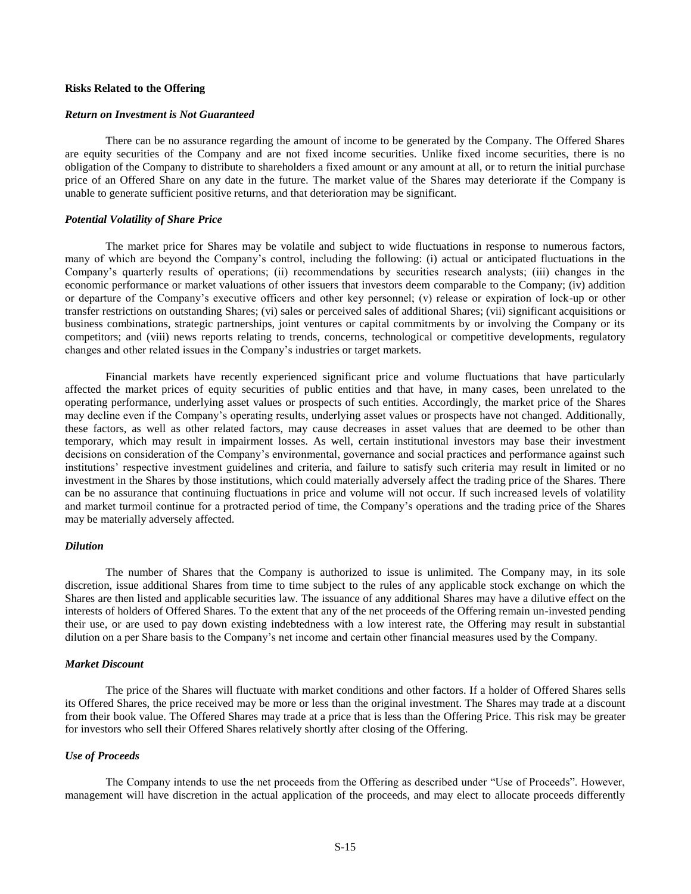#### **Risks Related to the Offering**

#### *Return on Investment is Not Guaranteed*

There can be no assurance regarding the amount of income to be generated by the Company. The Offered Shares are equity securities of the Company and are not fixed income securities. Unlike fixed income securities, there is no obligation of the Company to distribute to shareholders a fixed amount or any amount at all, or to return the initial purchase price of an Offered Share on any date in the future. The market value of the Shares may deteriorate if the Company is unable to generate sufficient positive returns, and that deterioration may be significant.

#### *Potential Volatility of Share Price*

The market price for Shares may be volatile and subject to wide fluctuations in response to numerous factors, many of which are beyond the Company's control, including the following: (i) actual or anticipated fluctuations in the Company's quarterly results of operations; (ii) recommendations by securities research analysts; (iii) changes in the economic performance or market valuations of other issuers that investors deem comparable to the Company; (iv) addition or departure of the Company's executive officers and other key personnel; (v) release or expiration of lock-up or other transfer restrictions on outstanding Shares; (vi) sales or perceived sales of additional Shares; (vii) significant acquisitions or business combinations, strategic partnerships, joint ventures or capital commitments by or involving the Company or its competitors; and (viii) news reports relating to trends, concerns, technological or competitive developments, regulatory changes and other related issues in the Company's industries or target markets.

Financial markets have recently experienced significant price and volume fluctuations that have particularly affected the market prices of equity securities of public entities and that have, in many cases, been unrelated to the operating performance, underlying asset values or prospects of such entities. Accordingly, the market price of the Shares may decline even if the Company's operating results, underlying asset values or prospects have not changed. Additionally, these factors, as well as other related factors, may cause decreases in asset values that are deemed to be other than temporary, which may result in impairment losses. As well, certain institutional investors may base their investment decisions on consideration of the Company's environmental, governance and social practices and performance against such institutions' respective investment guidelines and criteria, and failure to satisfy such criteria may result in limited or no investment in the Shares by those institutions, which could materially adversely affect the trading price of the Shares. There can be no assurance that continuing fluctuations in price and volume will not occur. If such increased levels of volatility and market turmoil continue for a protracted period of time, the Company's operations and the trading price of the Shares may be materially adversely affected.

## *Dilution*

The number of Shares that the Company is authorized to issue is unlimited. The Company may, in its sole discretion, issue additional Shares from time to time subject to the rules of any applicable stock exchange on which the Shares are then listed and applicable securities law. The issuance of any additional Shares may have a dilutive effect on the interests of holders of Offered Shares. To the extent that any of the net proceeds of the Offering remain un-invested pending their use, or are used to pay down existing indebtedness with a low interest rate, the Offering may result in substantial dilution on a per Share basis to the Company's net income and certain other financial measures used by the Company.

#### *Market Discount*

The price of the Shares will fluctuate with market conditions and other factors. If a holder of Offered Shares sells its Offered Shares, the price received may be more or less than the original investment. The Shares may trade at a discount from their book value. The Offered Shares may trade at a price that is less than the Offering Price. This risk may be greater for investors who sell their Offered Shares relatively shortly after closing of the Offering.

#### *Use of Proceeds*

The Company intends to use the net proceeds from the Offering as described under "Use of Proceeds". However, management will have discretion in the actual application of the proceeds, and may elect to allocate proceeds differently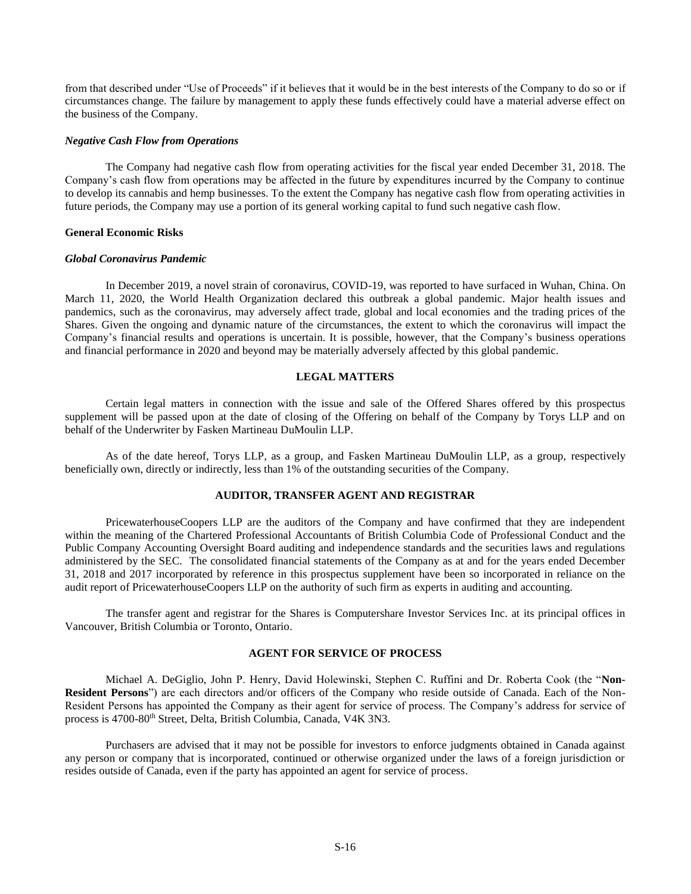<span id="page-15-3"></span>from that described under "Use of Proceeds" if it believes that it would be in the best interests of the Company to do so or if circumstances change. The failure by management to apply these funds effectively could have a material adverse effect on the business of the Company.

#### *Negative Cash Flow from Operations*

The Company had negative cash flow from operating activities for the fiscal year ended December 31, 2018. The Company's cash flow from operations may be affected in the future by expenditures incurred by the Company to continue to develop its cannabis and hemp businesses. To the extent the Company has negative cash flow from operating activities in future periods, the Company may use a portion of its general working capital to fund such negative cash flow.

#### **General Economic Risks**

#### *Global Coronavirus Pandemic*

In December 2019, a novel strain of coronavirus, COVID-19, was reported to have surfaced in Wuhan, China. On March 11, 2020, the World Health Organization declared this outbreak a global pandemic. Major health issues and pandemics, such as the coronavirus, may adversely affect trade, global and local economies and the trading prices of the Shares. Given the ongoing and dynamic nature of the circumstances, the extent to which the coronavirus will impact the Company's financial results and operations is uncertain. It is possible, however, that the Company's business operations and financial performance in 2020 and beyond may be materially adversely affected by this global pandemic.

# **LEGAL MATTERS**

<span id="page-15-0"></span>Certain legal matters in connection with the issue and sale of the Offered Shares offered by this prospectus supplement will be passed upon at the date of closing of the Offering on behalf of the Company by Torys LLP and on behalf of the Underwriter by Fasken Martineau DuMoulin LLP.

As of the date hereof, Torys LLP, as a group, and Fasken Martineau DuMoulin LLP, as a group, respectively beneficially own, directly or indirectly, less than 1% of the outstanding securities of the Company.

# **AUDITOR, TRANSFER AGENT AND REGISTRAR**

<span id="page-15-1"></span>PricewaterhouseCoopers LLP are the auditors of the Company and have confirmed that they are independent within the meaning of the Chartered Professional Accountants of British Columbia Code of Professional Conduct and the Public Company Accounting Oversight Board auditing and independence standards and the securities laws and regulations administered by the SEC. The consolidated financial statements of the Company as at and for the years ended December 31, 2018 and 2017 incorporated by reference in this prospectus supplement have been so incorporated in reliance on the audit report of PricewaterhouseCoopers LLP on the authority of such firm as experts in auditing and accounting.

The transfer agent and registrar for the Shares is Computershare Investor Services Inc. at its principal offices in Vancouver, British Columbia or Toronto, Ontario.

# **AGENT FOR SERVICE OF PROCESS**

<span id="page-15-2"></span>Michael A. DeGiglio, John P. Henry, David Holewinski, Stephen C. Ruffini and Dr. Roberta Cook (the "**Non-Resident Persons**") are each directors and/or officers of the Company who reside outside of Canada. Each of the Non-Resident Persons has appointed the Company as their agent for service of process. The Company's address for service of process is 4700-80<sup>th</sup> Street, Delta, British Columbia, Canada, V4K 3N3.

Purchasers are advised that it may not be possible for investors to enforce judgments obtained in Canada against any person or company that is incorporated, continued or otherwise organized under the laws of a foreign jurisdiction or resides outside of Canada, even if the party has appointed an agent for service of process.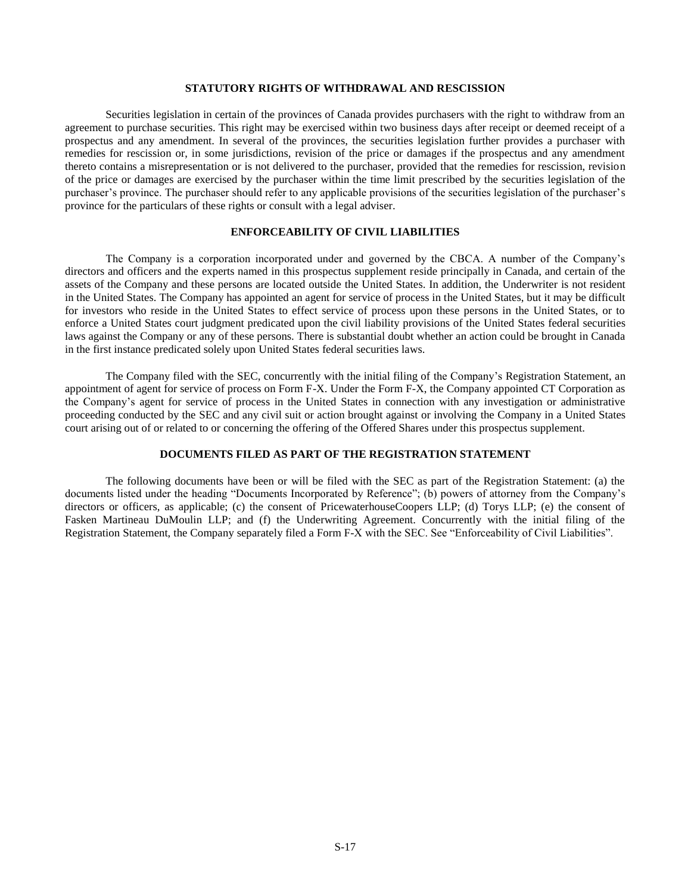## **STATUTORY RIGHTS OF WITHDRAWAL AND RESCISSION**

Securities legislation in certain of the provinces of Canada provides purchasers with the right to withdraw from an agreement to purchase securities. This right may be exercised within two business days after receipt or deemed receipt of a prospectus and any amendment. In several of the provinces, the securities legislation further provides a purchaser with remedies for rescission or, in some jurisdictions, revision of the price or damages if the prospectus and any amendment thereto contains a misrepresentation or is not delivered to the purchaser, provided that the remedies for rescission, revision of the price or damages are exercised by the purchaser within the time limit prescribed by the securities legislation of the purchaser's province. The purchaser should refer to any applicable provisions of the securities legislation of the purchaser's province for the particulars of these rights or consult with a legal adviser.

# **ENFORCEABILITY OF CIVIL LIABILITIES**

<span id="page-16-0"></span>The Company is a corporation incorporated under and governed by the CBCA. A number of the Company's directors and officers and the experts named in this prospectus supplement reside principally in Canada, and certain of the assets of the Company and these persons are located outside the United States. In addition, the Underwriter is not resident in the United States. The Company has appointed an agent for service of process in the United States, but it may be difficult for investors who reside in the United States to effect service of process upon these persons in the United States, or to enforce a United States court judgment predicated upon the civil liability provisions of the United States federal securities laws against the Company or any of these persons. There is substantial doubt whether an action could be brought in Canada in the first instance predicated solely upon United States federal securities laws.

The Company filed with the SEC, concurrently with the initial filing of the Company's Registration Statement, an appointment of agent for service of process on Form F-X. Under the Form F-X, the Company appointed CT Corporation as the Company's agent for service of process in the United States in connection with any investigation or administrative proceeding conducted by the SEC and any civil suit or action brought against or involving the Company in a United States court arising out of or related to or concerning the offering of the Offered Shares under this prospectus supplement.

# **DOCUMENTS FILED AS PART OF THE REGISTRATION STATEMENT**

<span id="page-16-1"></span>The following documents have been or will be filed with the SEC as part of the Registration Statement: (a) the documents listed under the heading "Documents Incorporated by Reference"; (b) powers of attorney from the Company's directors or officers, as applicable; (c) the consent of PricewaterhouseCoopers LLP; (d) Torys LLP; (e) the consent of Fasken Martineau DuMoulin LLP; and (f) the Underwriting Agreement. Concurrently with the initial filing of the Registration Statement, the Company separately filed a Form F-X with the SEC. See "Enforceability of Civil Liabilities".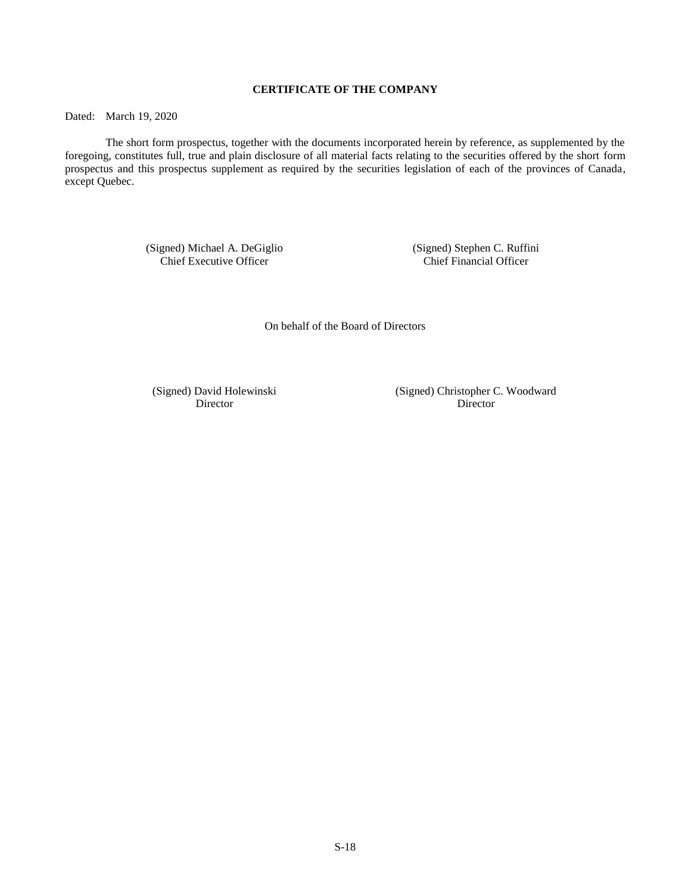# **CERTIFICATE OF THE COMPANY**

<span id="page-17-0"></span>Dated: March 19, 2020

The short form prospectus, together with the documents incorporated herein by reference, as supplemented by the foregoing, constitutes full, true and plain disclosure of all material facts relating to the securities offered by the short form prospectus and this prospectus supplement as required by the securities legislation of each of the provinces of Canada, except Quebec.

> (Signed) Michael A. DeGiglio (Signed) Stephen C. Ruffini Chief Executive Officer

On behalf of the Board of Directors

(Signed) David Holewinski (Signed) Christopher C. Woodward Director Director